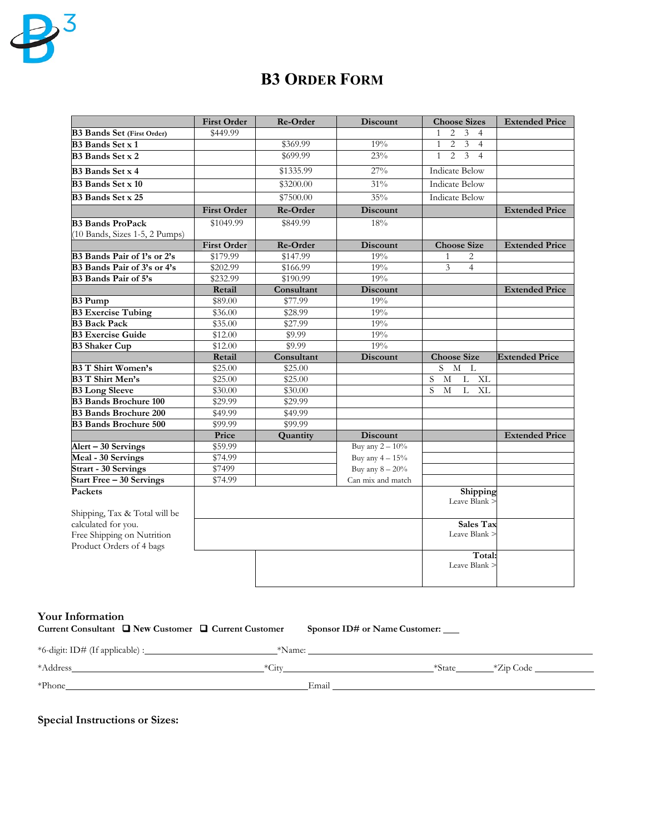

# **B3 ORDER FORM**

|                                                                                                                | <b>First Order</b> | Re-Order   | <b>Discount</b>    | <b>Choose Sizes</b>                                                | <b>Extended Price</b> |
|----------------------------------------------------------------------------------------------------------------|--------------------|------------|--------------------|--------------------------------------------------------------------|-----------------------|
| <b>B3 Bands Set (First Order)</b>                                                                              | \$449.99           |            |                    | $\overline{2}$<br>3<br>$\overline{4}$<br>$\mathbf{1}$              |                       |
| <b>B3</b> Bands Set x 1                                                                                        |                    | \$369.99   | 19%                | $\overline{2}$<br>$\mathbf{1}$<br>$\mathfrak{Z}$<br>$\overline{4}$ |                       |
| B <sub>3</sub> Bands Set x 2                                                                                   |                    | \$699.99   | 23%                | $\overline{3}$<br>$\mathbf{1}$<br>$\overline{2}$<br>$\overline{4}$ |                       |
| <b>B3</b> Bands Set x 4                                                                                        |                    | \$1335.99  | $27\%$             | <b>Indicate Below</b>                                              |                       |
| <b>B3</b> Bands Set x 10                                                                                       |                    | \$3200.00  | 31%                | <b>Indicate Below</b>                                              |                       |
| <b>B3</b> Bands Set x 25                                                                                       |                    | \$7500.00  | 35%                | <b>Indicate Below</b>                                              |                       |
|                                                                                                                | <b>First Order</b> | Re-Order   | <b>Discount</b>    |                                                                    | <b>Extended Price</b> |
| <b>B3 Bands ProPack</b>                                                                                        | \$1049.99          | \$849.99   | 18%                |                                                                    |                       |
| (10 Bands, Sizes 1-5, 2 Pumps)                                                                                 |                    |            |                    |                                                                    |                       |
|                                                                                                                | <b>First Order</b> | Re-Order   | <b>Discount</b>    | <b>Choose Size</b>                                                 | <b>Extended Price</b> |
| B3 Bands Pair of 1's or 2's                                                                                    | \$179.99           | \$147.99   | 19%                | 1<br>2                                                             |                       |
| B3 Bands Pair of 3's or 4's                                                                                    | \$202.99           | \$166.99   | 19%                | 3<br>$\overline{4}$                                                |                       |
| B3 Bands Pair of 5's                                                                                           | \$232.99           | \$190.99   | 19%                |                                                                    |                       |
|                                                                                                                | Retail             | Consultant | <b>Discount</b>    |                                                                    | <b>Extended Price</b> |
| <b>B3 Pump</b>                                                                                                 | \$89.00            | \$77.99    | 19%                |                                                                    |                       |
| <b>B3 Exercise Tubing</b>                                                                                      | \$36.00            | \$28.99    | 19%                |                                                                    |                       |
| <b>B3 Back Pack</b>                                                                                            | \$35.00            | \$27.99    | 19%                |                                                                    |                       |
| <b>B3 Exercise Guide</b>                                                                                       | \$12.00            | \$9.99     | 19%                |                                                                    |                       |
| <b>B3 Shaker Cup</b>                                                                                           | \$12.00            | \$9.99     | 19%                |                                                                    |                       |
|                                                                                                                | Retail             | Consultant | <b>Discount</b>    | <b>Choose Size</b>                                                 | <b>Extended Price</b> |
| <b>B3 T Shirt Women's</b>                                                                                      | \$25.00            | \$25.00    |                    | $\mathbf M$<br>S.<br>L                                             |                       |
| <b>B3 T Shirt Men's</b>                                                                                        | \$25.00            | \$25.00    |                    | S<br>XL<br>M<br>L                                                  |                       |
| <b>B3</b> Long Sleeve                                                                                          | \$30.00            | \$30.00    |                    | S<br>$\overline{L}$<br>M<br>XL                                     |                       |
| <b>B3 Bands Brochure 100</b>                                                                                   | \$29.99            | \$29.99    |                    |                                                                    |                       |
| <b>B3 Bands Brochure 200</b>                                                                                   | \$49.99            | \$49.99    |                    |                                                                    |                       |
| <b>B3 Bands Brochure 500</b>                                                                                   | \$99.99            | \$99.99    |                    |                                                                    |                       |
|                                                                                                                | Price              | Quantity   | <b>Discount</b>    |                                                                    | <b>Extended Price</b> |
| Alert - 30 Servings                                                                                            | \$59.99            |            | Buy any $2 - 10\%$ |                                                                    |                       |
| Meal - 30 Servings                                                                                             | \$74.99            |            | Buy any $4-15%$    |                                                                    |                       |
| <b>Strart - 30 Servings</b>                                                                                    | \$7499             |            | Buy any $8 - 20\%$ |                                                                    |                       |
| <b>Start Free - 30 Servings</b>                                                                                | \$74.99            |            | Can mix and match  |                                                                    |                       |
| Packets                                                                                                        |                    |            |                    | Shipping<br>Leave Blank >                                          |                       |
| Shipping, Tax & Total will be<br>calculated for you.<br>Free Shipping on Nutrition<br>Product Orders of 4 bags |                    |            |                    | <b>Sales Tax</b><br>Leave Blank >                                  |                       |
|                                                                                                                |                    |            |                    | Total:<br>Leave Blank >                                            |                       |

## **Your Information**

|  | Current Consultant $\Box$ New Customer $\Box$ Current Customer | Sponsor ID# or Name Customer: |
|--|----------------------------------------------------------------|-------------------------------|
|  |                                                                |                               |

| *6-digit: ID# (If applicable) :_ | *Name:  |       |        |           |
|----------------------------------|---------|-------|--------|-----------|
| *Address                         | $*Citv$ |       | *State | *Zip Code |
| *Phone                           |         | Email |        |           |

**Special Instructions or Sizes:**